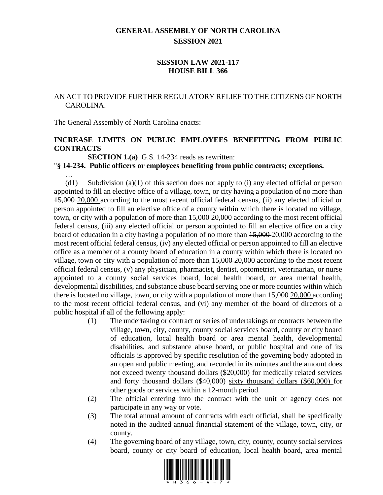## **GENERAL ASSEMBLY OF NORTH CAROLINA SESSION 2021**

## **SESSION LAW 2021-117 HOUSE BILL 366**

## AN ACT TO PROVIDE FURTHER REGULATORY RELIEF TO THE CITIZENS OF NORTH CAROLINA.

The General Assembly of North Carolina enacts:

…

### **INCREASE LIMITS ON PUBLIC EMPLOYEES BENEFITING FROM PUBLIC CONTRACTS**

**SECTION 1.(a)** G.S. 14-234 reads as rewritten:

#### "**§ 14-234. Public officers or employees benefiting from public contracts; exceptions.**

(d1) Subdivision (a)(1) of this section does not apply to (i) any elected official or person appointed to fill an elective office of a village, town, or city having a population of no more than 15,000 20,000 according to the most recent official federal census, (ii) any elected official or person appointed to fill an elective office of a county within which there is located no village, town, or city with a population of more than 15,000 20,000 according to the most recent official federal census, (iii) any elected official or person appointed to fill an elective office on a city board of education in a city having a population of no more than 15,000 20,000 according to the most recent official federal census, (iv) any elected official or person appointed to fill an elective office as a member of a county board of education in a county within which there is located no village, town or city with a population of more than 15,000 20,000 according to the most recent official federal census, (v) any physician, pharmacist, dentist, optometrist, veterinarian, or nurse appointed to a county social services board, local health board, or area mental health, developmental disabilities, and substance abuse board serving one or more counties within which there is located no village, town, or city with a population of more than 15,000 20,000 according to the most recent official federal census, and (vi) any member of the board of directors of a public hospital if all of the following apply:

- (1) The undertaking or contract or series of undertakings or contracts between the village, town, city, county, county social services board, county or city board of education, local health board or area mental health, developmental disabilities, and substance abuse board, or public hospital and one of its officials is approved by specific resolution of the governing body adopted in an open and public meeting, and recorded in its minutes and the amount does not exceed twenty thousand dollars (\$20,000) for medically related services and forty thousand dollars (\$40,000) sixty thousand dollars (\$60,000) for other goods or services within a 12-month period.
- (2) The official entering into the contract with the unit or agency does not participate in any way or vote.
- (3) The total annual amount of contracts with each official, shall be specifically noted in the audited annual financial statement of the village, town, city, or county.
- (4) The governing board of any village, town, city, county, county social services board, county or city board of education, local health board, area mental

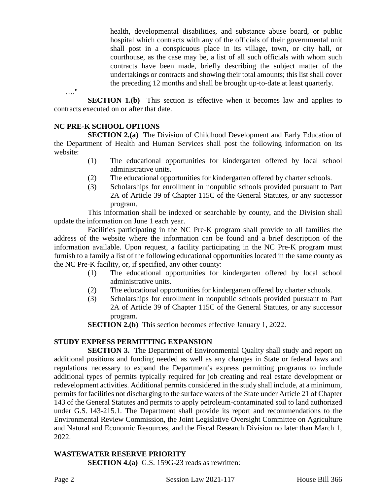health, developmental disabilities, and substance abuse board, or public hospital which contracts with any of the officials of their governmental unit shall post in a conspicuous place in its village, town, or city hall, or courthouse, as the case may be, a list of all such officials with whom such contracts have been made, briefly describing the subject matter of the undertakings or contracts and showing their total amounts; this list shall cover the preceding 12 months and shall be brought up-to-date at least quarterly.

**SECTION 1.(b)** This section is effective when it becomes law and applies to contracts executed on or after that date.

## **NC PRE-K SCHOOL OPTIONS**

…."

**SECTION 2.(a)** The Division of Childhood Development and Early Education of the Department of Health and Human Services shall post the following information on its website:

- (1) The educational opportunities for kindergarten offered by local school administrative units.
- (2) The educational opportunities for kindergarten offered by charter schools.
- (3) Scholarships for enrollment in nonpublic schools provided pursuant to Part 2A of Article 39 of Chapter 115C of the General Statutes, or any successor program.

This information shall be indexed or searchable by county, and the Division shall update the information on June 1 each year.

Facilities participating in the NC Pre-K program shall provide to all families the address of the website where the information can be found and a brief description of the information available. Upon request, a facility participating in the NC Pre-K program must furnish to a family a list of the following educational opportunities located in the same county as the NC Pre-K facility, or, if specified, any other county:

- (1) The educational opportunities for kindergarten offered by local school administrative units.
- (2) The educational opportunities for kindergarten offered by charter schools.
- (3) Scholarships for enrollment in nonpublic schools provided pursuant to Part 2A of Article 39 of Chapter 115C of the General Statutes, or any successor program.

**SECTION 2.(b)** This section becomes effective January 1, 2022.

## **STUDY EXPRESS PERMITTING EXPANSION**

**SECTION 3.** The Department of Environmental Quality shall study and report on additional positions and funding needed as well as any changes in State or federal laws and regulations necessary to expand the Department's express permitting programs to include additional types of permits typically required for job creating and real estate development or redevelopment activities. Additional permits considered in the study shall include, at a minimum, permits for facilities not discharging to the surface waters of the State under Article 21 of Chapter 143 of the General Statutes and permits to apply petroleum-contaminated soil to land authorized under G.S. 143-215.1. The Department shall provide its report and recommendations to the Environmental Review Commission, the Joint Legislative Oversight Committee on Agriculture and Natural and Economic Resources, and the Fiscal Research Division no later than March 1, 2022.

#### **WASTEWATER RESERVE PRIORITY**

**SECTION 4.(a)** G.S. 159G-23 reads as rewritten: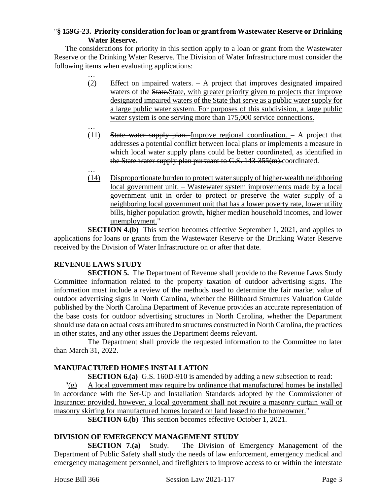### "**§ 159G-23. Priority consideration for loan or grant from Wastewater Reserve or Drinking Water Reserve.**

The considerations for priority in this section apply to a loan or grant from the Wastewater Reserve or the Drinking Water Reserve. The Division of Water Infrastructure must consider the following items when evaluating applications:

- … (2) Effect on impaired waters. – A project that improves designated impaired waters of the State. State, with greater priority given to projects that improve designated impaired waters of the State that serve as a public water supply for a large public water system. For purposes of this subdivision, a large public water system is one serving more than 175,000 service connections.
- … (11) State water supply plan. Improve regional coordination. – A project that addresses a potential conflict between local plans or implements a measure in which local water supply plans could be better coordinated, as identified in the State water supply plan pursuant to G.S. 143-355(m).coordinated.
- … (14) Disproportionate burden to protect water supply of higher-wealth neighboring local government unit. – Wastewater system improvements made by a local government unit in order to protect or preserve the water supply of a neighboring local government unit that has a lower poverty rate, lower utility bills, higher population growth, higher median household incomes, and lower unemployment."

**SECTION 4.(b)** This section becomes effective September 1, 2021, and applies to applications for loans or grants from the Wastewater Reserve or the Drinking Water Reserve received by the Division of Water Infrastructure on or after that date.

## **REVENUE LAWS STUDY**

**SECTION 5.** The Department of Revenue shall provide to the Revenue Laws Study Committee information related to the property taxation of outdoor advertising signs. The information must include a review of the methods used to determine the fair market value of outdoor advertising signs in North Carolina, whether the Billboard Structures Valuation Guide published by the North Carolina Department of Revenue provides an accurate representation of the base costs for outdoor advertising structures in North Carolina, whether the Department should use data on actual costs attributed to structures constructed in North Carolina, the practices in other states, and any other issues the Department deems relevant.

The Department shall provide the requested information to the Committee no later than March 31, 2022.

## **MANUFACTURED HOMES INSTALLATION**

**SECTION 6.(a)** G.S. 160D-910 is amended by adding a new subsection to read:

 $\Gamma(g)$  A local government may require by ordinance that manufactured homes be installed in accordance with the Set-Up and Installation Standards adopted by the Commissioner of Insurance; provided, however, a local government shall not require a masonry curtain wall or masonry skirting for manufactured homes located on land leased to the homeowner."

**SECTION 6.(b)** This section becomes effective October 1, 2021.

## **DIVISION OF EMERGENCY MANAGEMENT STUDY**

**SECTION 7.(a)** Study. – The Division of Emergency Management of the Department of Public Safety shall study the needs of law enforcement, emergency medical and emergency management personnel, and firefighters to improve access to or within the interstate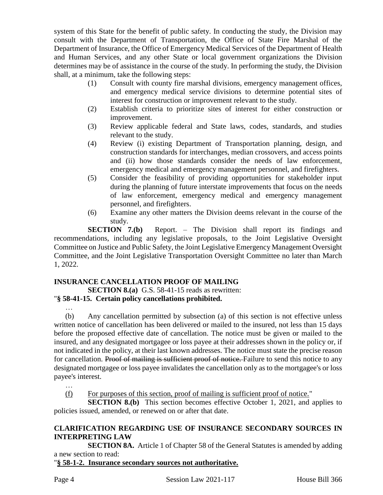system of this State for the benefit of public safety. In conducting the study, the Division may consult with the Department of Transportation, the Office of State Fire Marshal of the Department of Insurance, the Office of Emergency Medical Services of the Department of Health and Human Services, and any other State or local government organizations the Division determines may be of assistance in the course of the study. In performing the study, the Division shall, at a minimum, take the following steps:

- (1) Consult with county fire marshal divisions, emergency management offices, and emergency medical service divisions to determine potential sites of interest for construction or improvement relevant to the study.
- (2) Establish criteria to prioritize sites of interest for either construction or improvement.
- (3) Review applicable federal and State laws, codes, standards, and studies relevant to the study.
- (4) Review (i) existing Department of Transportation planning, design, and construction standards for interchanges, median crossovers, and access points and (ii) how those standards consider the needs of law enforcement, emergency medical and emergency management personnel, and firefighters.
- (5) Consider the feasibility of providing opportunities for stakeholder input during the planning of future interstate improvements that focus on the needs of law enforcement, emergency medical and emergency management personnel, and firefighters.
- (6) Examine any other matters the Division deems relevant in the course of the study.

**SECTION 7.(b)** Report. – The Division shall report its findings and recommendations, including any legislative proposals, to the Joint Legislative Oversight Committee on Justice and Public Safety, the Joint Legislative Emergency Management Oversight Committee, and the Joint Legislative Transportation Oversight Committee no later than March 1, 2022.

## **INSURANCE CANCELLATION PROOF OF MAILING**

**SECTION 8.(a)** G.S. 58-41-15 reads as rewritten:

## "**§ 58-41-15. Certain policy cancellations prohibited.**

… (b) Any cancellation permitted by subsection (a) of this section is not effective unless written notice of cancellation has been delivered or mailed to the insured, not less than 15 days before the proposed effective date of cancellation. The notice must be given or mailed to the insured, and any designated mortgagee or loss payee at their addresses shown in the policy or, if not indicated in the policy, at their last known addresses. The notice must state the precise reason for cancellation. Proof of mailing is sufficient proof of notice. Failure to send this notice to any designated mortgagee or loss payee invalidates the cancellation only as to the mortgagee's or loss payee's interest.

…

(f) For purposes of this section, proof of mailing is sufficient proof of notice."

**SECTION 8.(b)** This section becomes effective October 1, 2021, and applies to policies issued, amended, or renewed on or after that date.

## **CLARIFICATION REGARDING USE OF INSURANCE SECONDARY SOURCES IN INTERPRETING LAW**

**SECTION 8A.** Article 1 of Chapter 58 of the General Statutes is amended by adding a new section to read:

"**§ 58-1-2. Insurance secondary sources not authoritative.**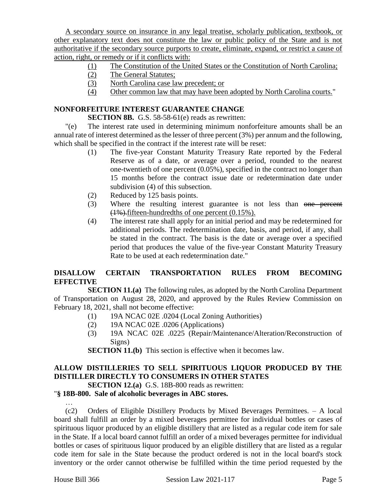A secondary source on insurance in any legal treatise, scholarly publication, textbook, or other explanatory text does not constitute the law or public policy of the State and is not authoritative if the secondary source purports to create, eliminate, expand, or restrict a cause of action, right, or remedy or if it conflicts with:

- (1) The Constitution of the United States or the Constitution of North Carolina;
- (2) The General Statutes;
- (3) North Carolina case law precedent; or
- (4) Other common law that may have been adopted by North Carolina courts."

## **NONFORFEITURE INTEREST GUARANTEE CHANGE**

**SECTION 8B.** G.S. 58-58-61(e) reads as rewritten:

"(e) The interest rate used in determining minimum nonforfeiture amounts shall be an annual rate of interest determined as the lesser of three percent (3%) per annum and the following, which shall be specified in the contract if the interest rate will be reset:

- (1) The five-year Constant Maturity Treasury Rate reported by the Federal Reserve as of a date, or average over a period, rounded to the nearest one-twentieth of one percent (0.05%), specified in the contract no longer than 15 months before the contract issue date or redetermination date under subdivision (4) of this subsection.
- (2) Reduced by 125 basis points.
- (3) Where the resulting interest guarantee is not less than one percent  $(1\%)$ . fifteen-hundredths of one percent  $(0.15\%)$ .
- (4) The interest rate shall apply for an initial period and may be redetermined for additional periods. The redetermination date, basis, and period, if any, shall be stated in the contract. The basis is the date or average over a specified period that produces the value of the five-year Constant Maturity Treasury Rate to be used at each redetermination date."

## **DISALLOW CERTAIN TRANSPORTATION RULES FROM BECOMING EFFECTIVE**

**SECTION 11.(a)** The following rules, as adopted by the North Carolina Department of Transportation on August 28, 2020, and approved by the Rules Review Commission on February 18, 2021, shall not become effective:

- (1) 19A NCAC 02E .0204 (Local Zoning Authorities)
- (2) 19A NCAC 02E .0206 (Applications)
- (3) 19A NCAC 02E .0225 (Repair/Maintenance/Alteration/Reconstruction of Signs)

**SECTION 11.(b)** This section is effective when it becomes law.

# **ALLOW DISTILLERIES TO SELL SPIRITUOUS LIQUOR PRODUCED BY THE DISTILLER DIRECTLY TO CONSUMERS IN OTHER STATES**

**SECTION 12.(a)** G.S. 18B-800 reads as rewritten:

## "**§ 18B-800. Sale of alcoholic beverages in ABC stores.**

… (c2) Orders of Eligible Distillery Products by Mixed Beverages Permittees. – A local board shall fulfill an order by a mixed beverages permittee for individual bottles or cases of spirituous liquor produced by an eligible distillery that are listed as a regular code item for sale in the State. If a local board cannot fulfill an order of a mixed beverages permittee for individual bottles or cases of spirituous liquor produced by an eligible distillery that are listed as a regular code item for sale in the State because the product ordered is not in the local board's stock inventory or the order cannot otherwise be fulfilled within the time period requested by the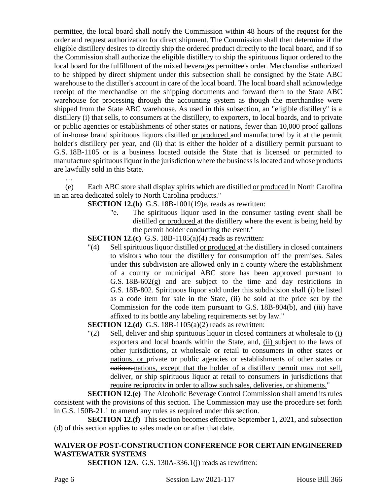permittee, the local board shall notify the Commission within 48 hours of the request for the order and request authorization for direct shipment. The Commission shall then determine if the eligible distillery desires to directly ship the ordered product directly to the local board, and if so the Commission shall authorize the eligible distillery to ship the spirituous liquor ordered to the local board for the fulfillment of the mixed beverages permittee's order. Merchandise authorized to be shipped by direct shipment under this subsection shall be consigned by the State ABC warehouse to the distiller's account in care of the local board. The local board shall acknowledge receipt of the merchandise on the shipping documents and forward them to the State ABC warehouse for processing through the accounting system as though the merchandise were shipped from the State ABC warehouse. As used in this subsection, an "eligible distillery" is a distillery (i) that sells, to consumers at the distillery, to exporters, to local boards, and to private or public agencies or establishments of other states or nations, fewer than 10,000 proof gallons of in-house brand spirituous liquors distilled or produced and manufactured by it at the permit holder's distillery per year, and (ii) that is either the holder of a distillery permit pursuant to G.S. 18B-1105 or is a business located outside the State that is licensed or permitted to manufacture spirituous liquor in the jurisdiction where the business is located and whose products are lawfully sold in this State.

(e) Each ABC store shall display spirits which are distilled or produced in North Carolina in an area dedicated solely to North Carolina products."

- **SECTION 12.(b)** G.S. 18B-1001(19)e. reads as rewritten:
	- "e. The spirituous liquor used in the consumer tasting event shall be distilled or produced at the distillery where the event is being held by the permit holder conducting the event."

**SECTION 12.(c)** G.S. 18B-1105(a)(4) reads as rewritten:

"(4) Sell spirituous liquor distilled or produced at the distillery in closed containers to visitors who tour the distillery for consumption off the premises. Sales under this subdivision are allowed only in a county where the establishment of a county or municipal ABC store has been approved pursuant to G.S. 18B-602(g) and are subject to the time and day restrictions in G.S. 18B-802. Spirituous liquor sold under this subdivision shall (i) be listed as a code item for sale in the State, (ii) be sold at the price set by the Commission for the code item pursuant to G.S. 18B-804(b), and (iii) have affixed to its bottle any labeling requirements set by law."

**SECTION 12.(d)** G.S. 18B-1105(a)(2) reads as rewritten:

"(2) Sell, deliver and ship spirituous liquor in closed containers at wholesale to (i) exporters and local boards within the State, and, (ii) subject to the laws of other jurisdictions, at wholesale or retail to consumers in other states or nations, or private or public agencies or establishments of other states or nations.nations, except that the holder of a distillery permit may not sell, deliver, or ship spirituous liquor at retail to consumers in jurisdictions that require reciprocity in order to allow such sales, deliveries, or shipments."

**SECTION 12.(e)** The Alcoholic Beverage Control Commission shall amend its rules consistent with the provisions of this section. The Commission may use the procedure set forth in G.S. 150B-21.1 to amend any rules as required under this section.

**SECTION 12.(f)** This section becomes effective September 1, 2021, and subsection (d) of this section applies to sales made on or after that date.

# **WAIVER OF POST-CONSTRUCTION CONFERENCE FOR CERTAIN ENGINEERED WASTEWATER SYSTEMS**

**SECTION 12A.** G.S. 130A-336.1(j) reads as rewritten:

…

Page 6 Session Law 2021-117 House Bill 366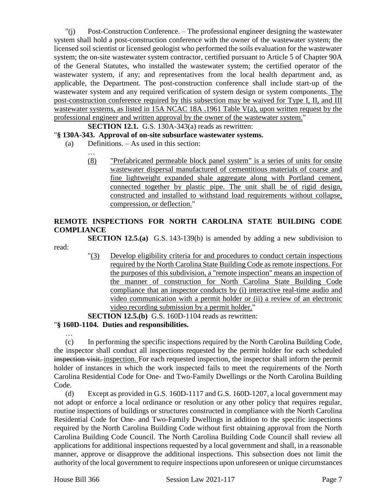"(j) Post-Construction Conference. – The professional engineer designing the wastewater system shall hold a post-construction conference with the owner of the wastewater system; the licensed soil scientist or licensed geologist who performed the soils evaluation for the wastewater system; the on-site wastewater system contractor, certified pursuant to Article 5 of Chapter 90A of the General Statutes, who installed the wastewater system; the certified operator of the wastewater system, if any; and representatives from the local health department and, as applicable, the Department. The post-construction conference shall include start-up of the wastewater system and any required verification of system design or system components. The post-construction conference required by this subsection may be waived for Type I, II, and III wastewater systems, as listed in 15A NCAC 18A .1961 Table V(a), upon written request by the professional engineer and written approval by the owner of the wastewater system."

## **SECTION 12.1.** G.S. 130A-343(a) reads as rewritten:

### "**§ 130A-343. Approval of on-site subsurface wastewater systems.**

(a) Definitions. – As used in this section:

…

(8) "Prefabricated permeable block panel system" is a series of units for onsite wastewater dispersal manufactured of cementitious materials of coarse and fine lightweight expanded shale aggregate along with Portland cement, connected together by plastic pipe. The unit shall be of rigid design, constructed and installed to withstand load requirements without collapse, compression, or deflection."

## **REMOTE INSPECTIONS FOR NORTH CAROLINA STATE BUILDING CODE COMPLIANCE**

**SECTION 12.5.(a)** G.S. 143-139(b) is amended by adding a new subdivision to read:

> "(3) Develop eligibility criteria for and procedures to conduct certain inspections required by the North Carolina State Building Code as remote inspections. For the purposes of this subdivision, a "remote inspection" means an inspection of the manner of construction for North Carolina State Building Code compliance that an inspector conducts by (i) interactive real-time audio and video communication with a permit holder or (ii) a review of an electronic video recording submission by a permit holder."

#### **SECTION 12.5.(b)** G.S. 160D-1104 reads as rewritten:

#### "**§ 160D-1104. Duties and responsibilities.**

(c) In performing the specific inspections required by the North Carolina Building Code, the inspector shall conduct all inspections requested by the permit holder for each scheduled inspection visit. inspection. For each requested inspection, the inspector shall inform the permit holder of instances in which the work inspected fails to meet the requirements of the North Carolina Residential Code for One- and Two-Family Dwellings or the North Carolina Building Code.

(d) Except as provided in G.S. 160D-1117 and G.S. 160D-1207, a local government may not adopt or enforce a local ordinance or resolution or any other policy that requires regular, routine inspections of buildings or structures constructed in compliance with the North Carolina Residential Code for One- and Two-Family Dwellings in addition to the specific inspections required by the North Carolina Building Code without first obtaining approval from the North Carolina Building Code Council. The North Carolina Building Code Council shall review all applications for additional inspections requested by a local government and shall, in a reasonable manner, approve or disapprove the additional inspections. This subsection does not limit the authority of the local government to require inspections upon unforeseen or unique circumstances

…